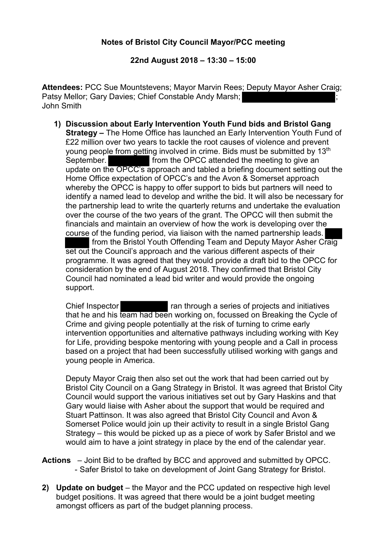## **Notes of Bristol City Council Mayor/PCC meeting**

**22nd August 2018 – 13:30 – 15:00**

**Attendees:** PCC Sue Mountstevens; Mayor Marvin Rees; Deputy Mayor Asher Craig; Patsy Mellor; Gary Davies; Chief Constable Andy Marsh; ; John Smith

**1) Discussion about Early Intervention Youth Fund bids and Bristol Gang Strategy –** The Home Office has launched an Early Intervention Youth Fund of £22 million over two years to tackle the root causes of violence and prevent young people from getting involved in crime. Bids must be submitted by 13<sup>th</sup> September. **Figure 1.5 Follow 1.5 From the OPCC** attended the meeting to give an update on the OPCC's approach and tabled a briefing document setting out the Home Office expectation of OPCC's and the Avon & Somerset approach whereby the OPCC is happy to offer support to bids but partners will need to identify a named lead to develop and writhe the bid. It will also be necessary for the partnership lead to write the quarterly returns and undertake the evaluation over the course of the two years of the grant. The OPCC will then submit the financials and maintain an overview of how the work is developing over the course of the funding period, via liaison with the named partnership leads. from the Bristol Youth Offending Team and Deputy Mayor Asher Craig set out the Council's approach and the various different aspects of their

programme. It was agreed that they would provide a draft bid to the OPCC for consideration by the end of August 2018. They confirmed that Bristol City Council had nominated a lead bid writer and would provide the ongoing support.

Chief Inspector **ran through a series of projects and initiatives** that he and his team had been working on, focussed on Breaking the Cycle of Crime and giving people potentially at the risk of turning to crime early intervention opportunities and alternative pathways including working with Key for Life, providing bespoke mentoring with young people and a Call in process based on a project that had been successfully utilised working with gangs and young people in America.

Deputy Mayor Craig then also set out the work that had been carried out by Bristol City Council on a Gang Strategy in Bristol. It was agreed that Bristol City Council would support the various initiatives set out by Gary Haskins and that Gary would liaise with Asher about the support that would be required and Stuart Pattinson. It was also agreed that Bristol City Council and Avon & Somerset Police would join up their activity to result in a single Bristol Gang Strategy – this would be picked up as a piece of work by Safer Bristol and we would aim to have a joint strategy in place by the end of the calendar year.

- **Actions**  Joint Bid to be drafted by BCC and approved and submitted by OPCC. - Safer Bristol to take on development of Joint Gang Strategy for Bristol.
- **2) Update on budget** the Mayor and the PCC updated on respective high level budget positions. It was agreed that there would be a joint budget meeting amongst officers as part of the budget planning process.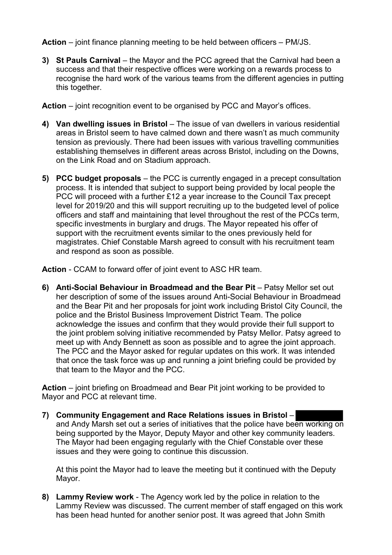**Action** – joint finance planning meeting to be held between officers – PM/JS.

**3) St Pauls Carnival** – the Mayor and the PCC agreed that the Carnival had been a success and that their respective offices were working on a rewards process to recognise the hard work of the various teams from the different agencies in putting this together.

**Action** – joint recognition event to be organised by PCC and Mayor's offices.

- **4) Van dwelling issues in Bristol** The issue of van dwellers in various residential areas in Bristol seem to have calmed down and there wasn't as much community tension as previously. There had been issues with various travelling communities establishing themselves in different areas across Bristol, including on the Downs, on the Link Road and on Stadium approach.
- **5) PCC budget proposals** the PCC is currently engaged in a precept consultation process. It is intended that subject to support being provided by local people the PCC will proceed with a further £12 a year increase to the Council Tax precept level for 2019/20 and this will support recruiting up to the budgeted level of police officers and staff and maintaining that level throughout the rest of the PCCs term, specific investments in burglary and drugs. The Mayor repeated his offer of support with the recruitment events similar to the ones previously held for magistrates. Chief Constable Marsh agreed to consult with his recruitment team and respond as soon as possible.

**Action** - CCAM to forward offer of joint event to ASC HR team.

**6) Anti-Social Behaviour in Broadmead and the Bear Pit** – Patsy Mellor set out her description of some of the issues around Anti-Social Behaviour in Broadmead and the Bear Pit and her proposals for joint work including Bristol City Council, the police and the Bristol Business Improvement District Team. The police acknowledge the issues and confirm that they would provide their full support to the joint problem solving initiative recommended by Patsy Mellor. Patsy agreed to meet up with Andy Bennett as soon as possible and to agree the joint approach. The PCC and the Mayor asked for regular updates on this work. It was intended that once the task force was up and running a joint briefing could be provided by that team to the Mayor and the PCC.

**Action** – joint briefing on Broadmead and Bear Pit joint working to be provided to Mayor and PCC at relevant time.

**7) Community Engagement and Race Relations issues in Bristol** – and Andy Marsh set out a series of initiatives that the police have been working on being supported by the Mayor, Deputy Mayor and other key community leaders. The Mayor had been engaging regularly with the Chief Constable over these issues and they were going to continue this discussion.

At this point the Mayor had to leave the meeting but it continued with the Deputy Mayor.

**8) Lammy Review work** - The Agency work led by the police in relation to the Lammy Review was discussed. The current member of staff engaged on this work has been head hunted for another senior post. It was agreed that John Smith